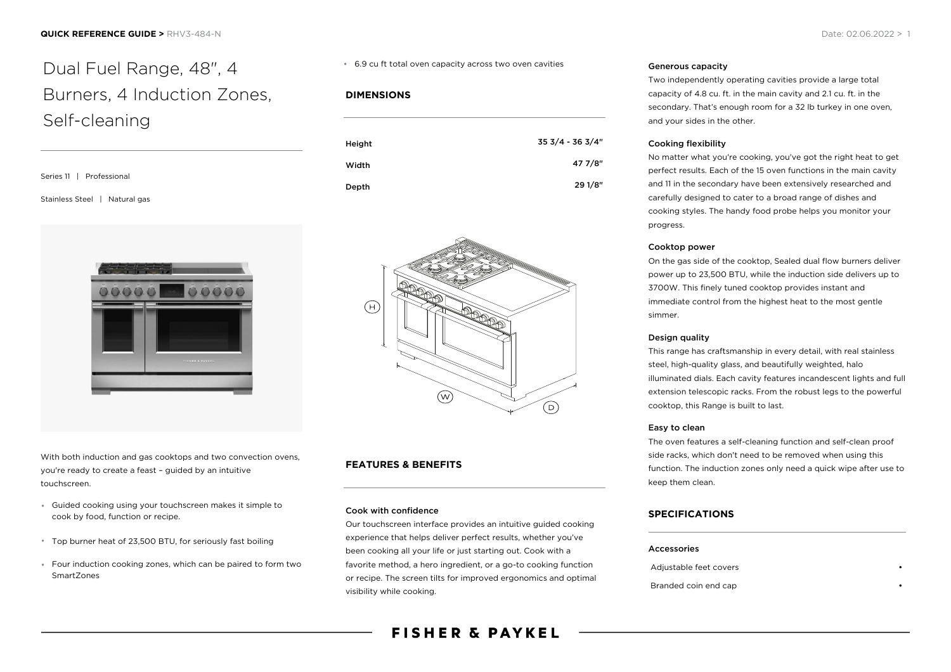# Dual Fuel Range, 48", 4 Burners, 4 Induction Zones, Self-cleaning

| Series 11   Professional      |
|-------------------------------|
| Stainless Steel   Natural gas |



With both induction and gas cooktops and two convection ovens, you're ready to create a feast – guided by an intuitive touchscreen.

- Guided cooking using your touchscreen makes it simple to cook by food, function or recipe.
- Top burner heat of 23,500 BTU, for seriously fast boiling
- Four induction cooking zones, which can be paired to form two SmartZones

#### 6.9 cu ft total oven capacity across two oven cavities

#### **DIMENSIONS**

| Height | 35 3/4 - 36 3/4" |
|--------|------------------|
| Width  | 47 7/8"          |
| Depth  | 29 1/8"          |



#### **FEATURES & BENEFITS**

#### Cook with confidence

Our touchscreen interface provides an intuitive guided cooking experience that helps deliver perfect results, whether you've been cooking all your life or just starting out. Cook with a favorite method, a hero ingredient, or a go-to cooking function or recipe. The screen tilts for improved ergonomics and optimal visibility while cooking.

#### Generous capacity

Two independently operating cavities provide a large total capacity of 4.8 cu. ft. in the main cavity and 2.1 cu. ft. in the secondary. That's enough room for a 32 lb turkey in one oven, and your sides in the other.

#### Cooking flexibility

No matter what you're cooking, you've got the right heat to get perfect results. Each of the 15 oven functions in the main cavity and 11 in the secondary have been extensively researched and carefully designed to cater to a broad range of dishes and cooking styles. The handy food probe helps you monitor your progress.

#### Cooktop power

On the gas side of the cooktop, Sealed dual flow burners deliver power up to 23,500 BTU, while the induction side delivers up to 3700W. This finely tuned cooktop provides instant and immediate control from the highest heat to the most gentle simmer.

#### Design quality

This range has craftsmanship in every detail, with real stainless steel, high-quality glass, and beautifully weighted, halo illuminated dials. Each cavity features incandescent lights and full extension telescopic racks. From the robust legs to the powerful cooktop, this Range is built to last.

#### Easy to clean

The oven features a self-cleaning function and self-clean proof side racks, which don't need to be removed when using this function. The induction zones only need a quick wipe after use to keep them clean.

#### **SPECIFICATIONS**

#### Accessories

Adjustable feet covers Branded coin end cap •

**FISHER & PAYKEL**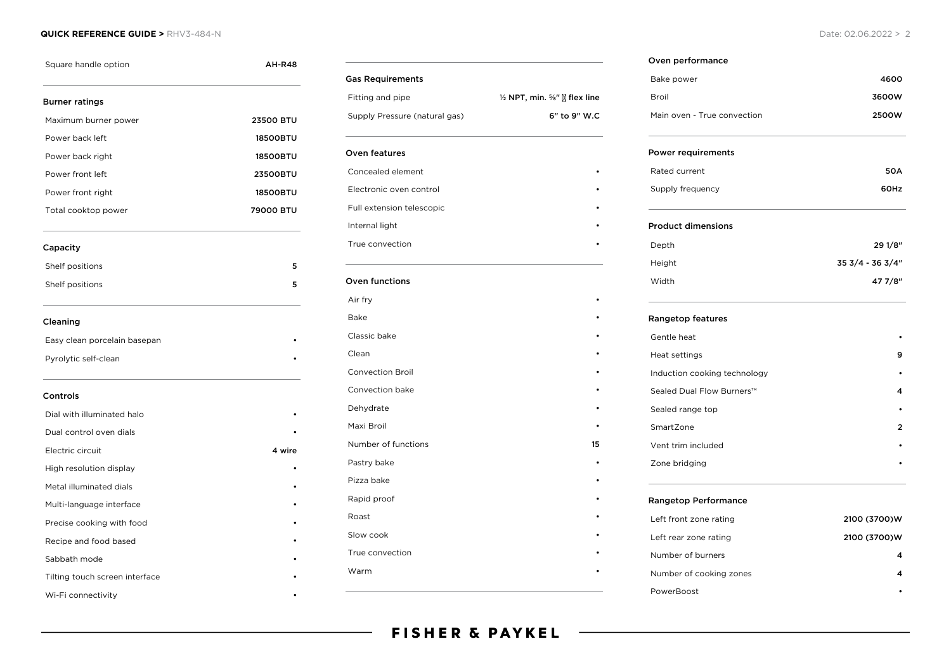#### **QUICK REFERENCE GUIDE >** RHV3-484-N Date: 02.06.2022 > 2

| Square handle option           | AH-R48          |
|--------------------------------|-----------------|
| <b>Burner ratings</b>          |                 |
| Maximum burner power           | 23500 BTU       |
| Power back left                | <b>18500BTU</b> |
| Power back right               | <b>18500BTU</b> |
| Power front left               | 23500BTU        |
| Power front right              | <b>18500BTU</b> |
| Total cooktop power            | 79000 BTU       |
| Capacity                       |                 |
| Shelf positions                | 5               |
| Shelf positions                | 5               |
| Cleaning                       |                 |
| Easy clean porcelain basepan   |                 |
| Pyrolytic self-clean           |                 |
| Controls                       |                 |
| Dial with illuminated halo     |                 |
| Dual control oven dials        |                 |
| Electric circuit               | 4 wire          |
| High resolution display        |                 |
| Metal illuminated dials        |                 |
| Multi-language interface       |                 |
| Precise cooking with food      |                 |
| Recipe and food based          |                 |
| Sabbath mode                   |                 |
| Tilting touch screen interface |                 |
| Wi-Fi connectivity             |                 |

| <b>Gas Requirements</b>       |                                                              |
|-------------------------------|--------------------------------------------------------------|
| Fitting and pipe              | $\frac{1}{2}$ NPT, min. $\frac{5}{8}$ " $\sqrt{2}$ flex line |
| Supply Pressure (natural gas) | 6" to 9" W.C                                                 |
| Oven features                 |                                                              |
| Concealed element             |                                                              |
| Electronic oven control       |                                                              |
| Full extension telescopic     |                                                              |
| Internal light                |                                                              |
| True convection               |                                                              |
| Oven functions                |                                                              |
| Air fry                       |                                                              |
| Bake                          |                                                              |
| Classic bake                  |                                                              |
| Clean                         |                                                              |
| <b>Convection Broil</b>       |                                                              |
| Convection bake               |                                                              |
| Dehydrate                     |                                                              |
| Maxi Broil                    |                                                              |
| Number of functions           | 15                                                           |
| Pastry bake                   |                                                              |
| Pizza bake                    |                                                              |
| Rapid proof                   |                                                              |
| Roast                         |                                                              |
| Slow cook                     |                                                              |
| True convection               |                                                              |
| Warm                          |                                                              |
|                               |                                                              |

## Bake power and the set of the set of the set of the set of the set of the set of the set of the set of the set of the set of the set of the set of the set of the set of the set of the set of the set of the set of the set o Broil 3600W Main oven - True convection **2500W** Power requirements Rated current 50A Supply frequency **60Hz** Product dimensions Depth 29 1/8" Height 35 3/4 - 36 3/4"

Width 47 7/8"

| Rangetop features            |   |
|------------------------------|---|
| Gentle heat                  |   |
| Heat settings                | 9 |
| Induction cooking technology |   |
| Sealed Dual Flow Burners™    | 4 |
| Sealed range top             |   |
| SmartZone                    | 2 |
| Vent trim included           | ٠ |
| Zone bridging                |   |
|                              |   |

#### Rangetop Performance

Oven performance

| Left front zone rating  | 2100 (3700)W |
|-------------------------|--------------|
| Left rear zone rating   | 2100 (3700)W |
| Number of burners       |              |
| Number of cooking zones |              |
| PowerBoost              |              |